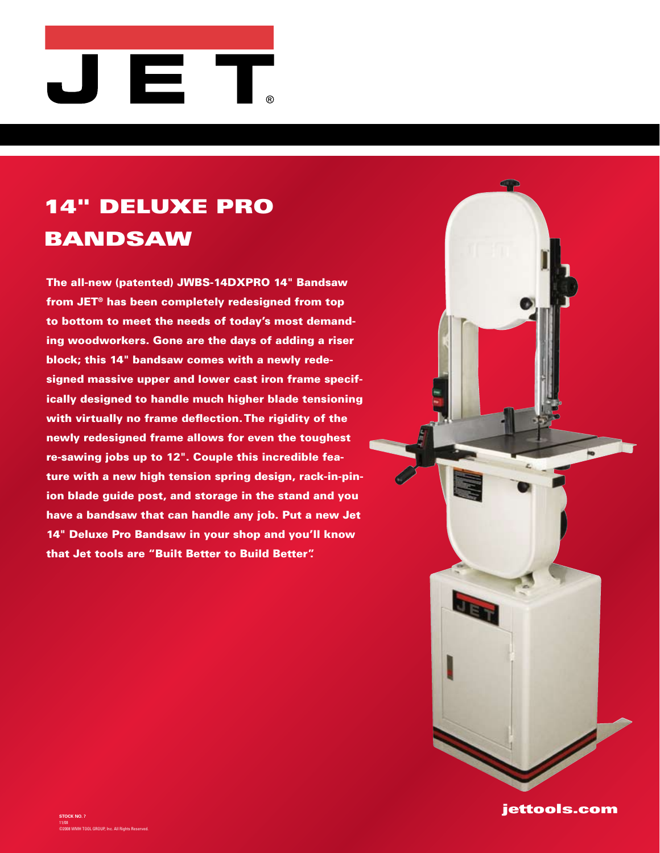

## 14" deluxe pro **BANDSAW**

The all-new (patented) JWBS-14DXPRO 14" Bandsaw from JET® has been completely redesigned from top to bottom to meet the needs of today's most demanding woodworkers. Gone are the days of adding a riser block; this 14" bandsaw comes with a newly redesigned massive upper and lower cast iron frame specifically designed to handle much higher blade tensioning with virtually no frame deflection. The rigidity of the newly redesigned frame allows for even the toughest re-sawing jobs up to 12". Couple this incredible feature with a new high tension spring design, rack-in-pinion blade guide post, and storage in the stand and you have a bandsaw that can handle any job. Put a new Jet 14" Deluxe Pro Bandsaw in your shop and you'll know that Jet tools are "Built Better to Build Better".



jettools.com